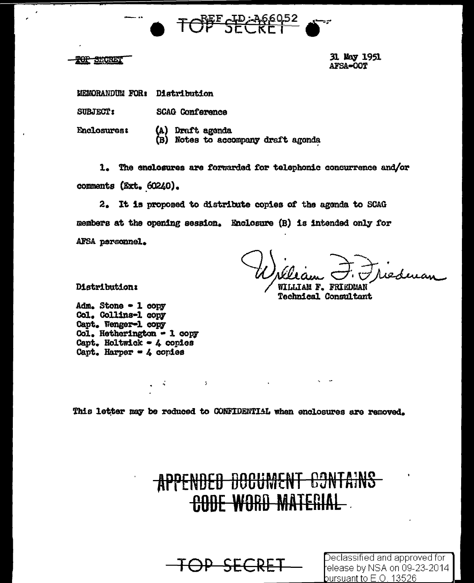



31 May 1951 **AFSA-OOT** 

MEMORANDUM FOR: Distribution

SUBJECT: **SCAG Conference** 

**Enclosures:** 

(A) Draft agenda (B) Notes to accompany draft agonda

1. The enclosures are forwarded for telephonic concurrence and/or comments (Ext. 60240).

2. It is proposed to distribute copies of the agenda to SCAG members at the opening session. Enclosure (B) is intended only for AFSA personnel.

Frederian WILLIAM F. FRIEDMAN

Technical Consultant

**Distribution:** 

 $Adm_{\bullet}$  Stone  $\sim$  1 copy Col. Collins-1 copy Capt. Wenger-1 copy Col. Hetherington - 1 copy Capt. Holtwick - 4 copies Capt. Harper - 4 copies

 $\mathcal{L}$ 

**Contract Contract** 

This letter may be reduced to CONFIDENTIAL when enclosures are removed.

APPENDED DOCUMENT CONTAINS **CODE WORD MATERIAL** 

<del>OP SECRET</del>

Declassified and approved for elease by NSA on 09-23-2014 bursuant to  $\mathsf{E}.\mathsf{O}$  . 13526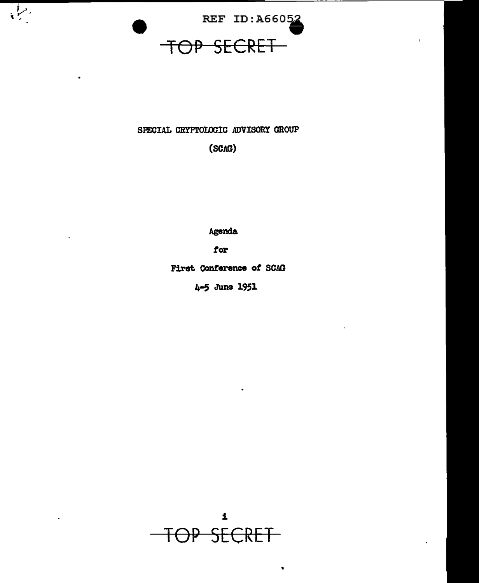

 $\mathbf{I}$ 

 $\frac{1}{\sqrt{2}}$ 

## SPECIAL CRYPTOLOGIC ADVISORY GROUP

(SCAG)

Agenda

for

First Conference of SCAG

4-5 June 1951

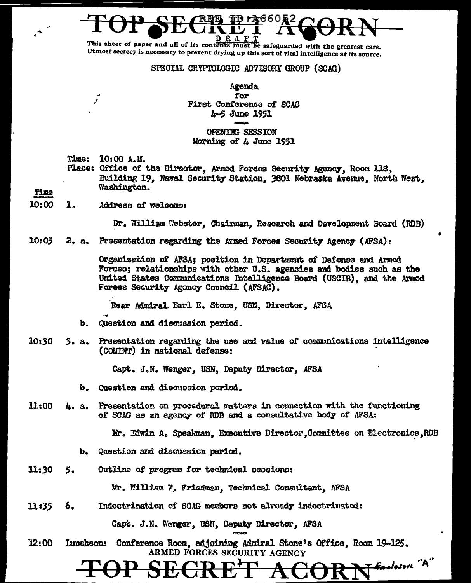This sheet of paper and all of its contents must be safeguarded with the greatest care. Utmost secrecy is necessary to prevent drying up this sort of vital intelligence at its source.

SPECIAL CRYPTOLOGIC ADVISORY GROUP (SCAG)

DrX660&2

Agenda for **First Conference of SCAG**  $4 - 5$  June 1951

### OPENING SESSION Morning of 4 June 1951

**Time:** 10:00 A.M.

Place: Office of the Director, Armed Forces Security Agency, Room 118, Building 19, Naval Security Station, 3601 Nebraska Avenue, North West, Washington.

# Time

10:00 1. Address of welcome:

Dr. William Webster, Chairman, Rosearch and Development Board (RDB)

 $10:05$ 2. a. Presentation regarding the Armed Forces Security Agency (AFSA):

> Organization of AFSA; position in Department of Defense and Armed Forces; relationships with other U.S. agencies and bodies such as the United States Communications Intelligence Board (USCIB), and the Armed Forces Security Agoncy Council (AFSAC).

Rear Admiral Earl E. Stone, USN, Director, AFSA

- Question and discussion period. b.
- 10:30 3. a. Presentation regarding the use and value of communications intelligence (COMINT) in national defense:

Capt. J.N. Wenger, USN, Deputy Director, AFSA

- b. Question and discussion period.
- 11:00 Presentation on procedural matters in connection with the functioning **4. a.** of SCAG as an agency of RDB and a consultative body of AFSA:

Mr. Edwin A. Speakman, Executive Director, Committee on Electronics, RDB

- b. Question and discussion period.
- 11:30 Outline of program for technical sessions: 5.

Mr. William F. Friedman, Technical Consultant, AFSA

11:35 Indoctrination of SCAG members not already indoctrinated: 6.

Capt. J.N. Wenger, USN, Deputy Director, AFSA

 $12:00$ Conference Room, adjoining Admiral Stone's Office, Room 19-125. **Luncheon:** ARMED FORCES SECURITY AGENCY FERELOSURE "A"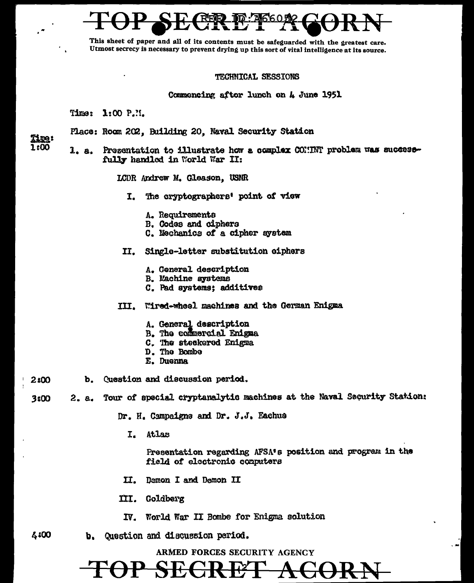This sheet of paper and all of its contents must be safeguarded with the greatest care. Utmost secrecy is necessary to prevent drying up this sort of vital intelligence at its source.

### TECHNICAL SESSIONS

Commoncing after lunch on 4 June 1951

Time: 1:00 P.M.

Place: Room 202, Building 20, Naval Security Station

**Time:** 1:00

 $4:00$ 

1. a. Presentation to illustrate how a complex COMMY problem was successfully handled in World War II:

LCDR Andrew M. Gleason. USNR

- I. The cryptographers' point of view
	- A. Requirements
	- B. Codes and ciphers
	- C. Mechanics of a cipher system
- II. Single-letter substitution ciphers
	- A. General description
	- **B. Machine systems**
	- C. Pad systems; additives
- III. Wired-wheel machines and the German Enigma
	- A. General description
	- B. The commercial Enigma
	- C. The steckered Enigma
	- D. The Bombe
	- E. Duenna
- b. Question and discussion period.  $2:00$
- Tour of special cryptanalytic machines at the Naval Security Station: 2. a. 3:00

Dr. H. Campaigns and Dr. J.J. Eachus

I. Atlas

Presentation regarding AFSA's position and program in the field of electronic computers

- Demon I and Demon II II. I
- III. Goldberg
- World War II Bombe for Enigma solution IV.
- Question and discussion period. b.

ARMED FORCES SECURITY AGENCY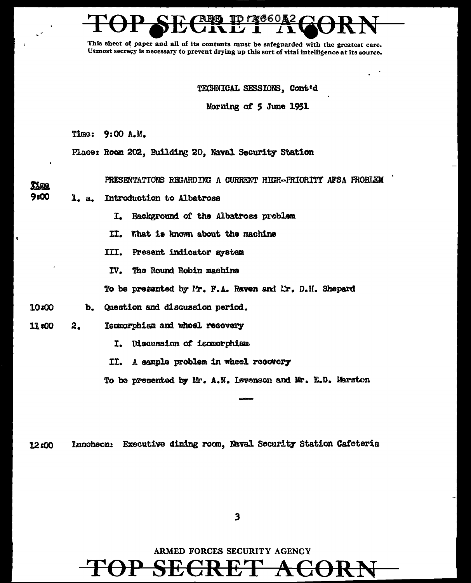This shect of paper and all of its contents must be safeguarded with the greatest care. Utmost secrecy is necessary to prevent drying up this sort of vital intelligence at its source.

### TECHNICAL SESSIONS. Cont'd

Morning of 5 June 1951

Time: 9:00 A.M.

**Time** 

Place: Room 202. Building 20. Naval Security Station

PRESENTATIONS REGARDING A CURRENT HIGH-PRIORITY AFSA PROBLEM

- 9:00 1. a. Introduction to Albatross
	- Background of the Albatross problem I.
	- II. What is known about the maching
	- III. Present indicator system
	- IV. The Round Robin machine
	- To be presented by P., F.A. Raven and Lr. D.H. Shepard
- Question and discussion period. 10:00 b.
- 11:00  $2.$ Isomorphism and wheel recovery
	- Discussion of isomorphism I.
	- II. A sample problem in wheel recovery

To be presented by Mr. A.N. Levenson and Mr. E.D. Marston

Luncheon: Executive dining room, Naval Security Station Cafeteria 12:00

 $\mathbf{3}$ 

ARMED FORCES SECURITY AGENCY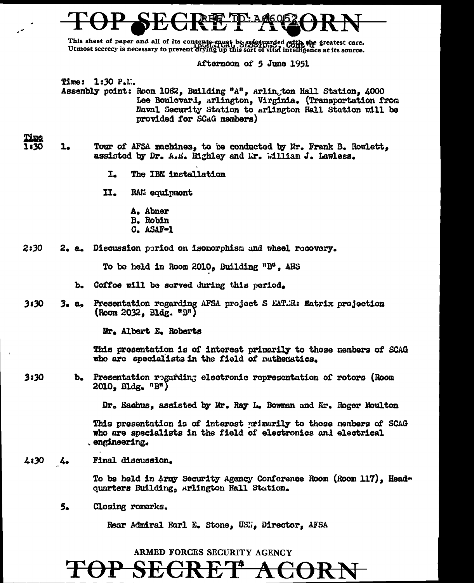This sheet of paper and all of its contents must be safetuarded with the greatest care. Utmost secrecy is necessary to prevent drying up this sort of vital intelligence at its source.

Afternoon of *S* June 1951

Time: 1:30 P.l.:. Assembly point: Room 1082, Building "A", Arlington Hall Station, 4000 Lee Boulovard, Arlington, Virginia. (Transportation from Naval Security Station to Arlington Hall Station will be provided for SCAG members)

1. Tour of AFSA machines, to be conducted by Mr. Frank B. Rowlett, assisted by Dr. A.E. lighley and Lr. William J. Lawless.

- I. The IBM installation
- II. RAL: equipmont
	- A. Abner
	- B. Robin
	- C. ASAF•l

2:30 2. a. Discussion period on isomorphism and wheel rocovery.

To be held in Room 2010, Building "B", AHS

- b. Coffoe will be served during this poriod.
- 3. a. Presentation regarding AFSA project S EAT..R: Matrix projection  $3:30$  $($ Room 2032, Bldg.  $"B"$ )

Mr. Albert E. Roberts

This presentation is of interest primarily to those members of SCAG who are specialists in the field of mathematics.

3:30 b. Presentation regarding electronic representation of rotors (Room  $2010, B11$ dg.,  $n_{B1}$ )

Dr. Eachus, assisted by Mr. Ray L. Bowman and *Mr. Roger Moulton* 

This presentation is of interest primarily to those members of SCAG who are specialists in the field of electronics and electrical . engineering.

 $4:30$ Final discussion.  $4.1$ 

> To be held in Army Security Agency Conference Room (Room 117), Headquarters Building, Arlington Hall Station.

5. Closing remarks.

Rear Admiral Earl E. Stone, USN., Director, AFSA

## ARMED FORCES SECURITY AGENCY

# TOP SECRET ACORN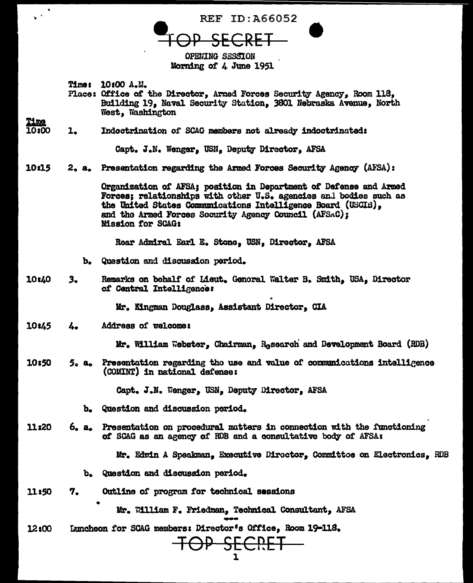REF ID:A66052 **OPENING SESSION** 

Morning of 4 June 1951

Time: 10:00 A.M.

 $\mathbf{v}^{(k)}$ 

<u>Time</u>

Place: Office of the Director, Armed Forces Security Agency, Room 118, Building 19, Naval Security Station, 3801 Nebraska Avenue, North West, Washington

10:00  $\mathbf{1}_{\bullet}$ Indoctrination of SCAG members not already indoctrinated:

Capt. J.N. Wenger, USN. Deputy Director, AFSA

10:15 2. a. Presentation regarding the Armed Forces Security Agency (AFSA):

> Organization of AFSA; position in Department of Defense and Armed Forces: relationships with other U.S. agencies and bodies such as the United States Communications Intelligence Board (USCIB), and the Armed Forces Socurity Agency Council (AFSAC); **Mission for SCAG:**

Rear Admiral Earl E. Stone, USN, Director, AFSA

- b. Question and discussion period.
- 10:40 Remarks on behalf of Lieut. Genoral Walter B. Smith. USA. Director  $3$ of Central Intelligence:

Mr. Kingman Douglass, Assistant Director, CIA

10:45 Address of welcome: Υ.

Mr. William Webster, Chairman, Research and Development Board (RDB)

10:50 Presentation regarding the use and value of communications intelligence  $5. a.$ (COMINT) in national defense:

Capt. J.N. Wenger, USN, Deputy Director, AFSA

- b. Question and discussion period.
- 11:20 Presentation on procedural matters in connection with the functioning  $6. a.$ of SCAG as an agency of RDB and a consultative body of AFSA:

Mr. Edwin A Speakman. Executive Director. Committee on Electronics, RDB

- b. Question and discussion period.
- 11:50 Outline of program for technical sessions 7.

Mr. William F. Friedman, Technical Consultant, AFSA

Luncheon for SCAG members: Director's Office, Room 19-118.  $12:00$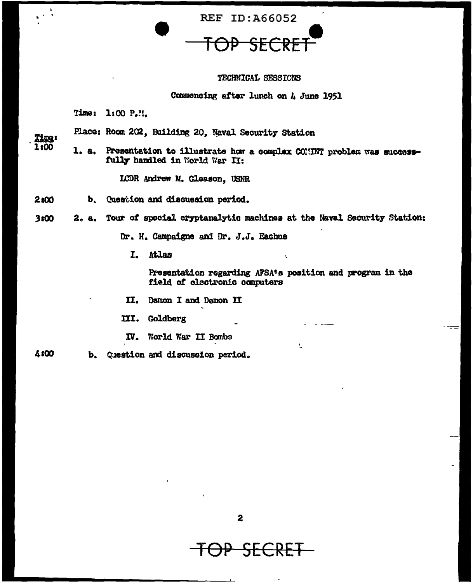**REF ID: A66052** 

### TECHNICAL SESSIONS

### Commencing after lunch on A June 1951

Time: 1:00 P.H.

Place: Room 202, Building 20, Naval Security Station

Time:  $1:00$ 

1. a. Presentation to illustrate how a complex COMINT problem was successfully handled in World War II:

LCDR Andrew M. Gleason, USNR

- 2:00 b. Question and discussion period.
- $3<sub>5</sub>00$ 2. a. Tour of special cryptanalytic machines at the Naval Security Station:

Dr. H. Campaigne and Dr. J.J. Eachus

I. Atlas

Presentation regarding AFSA's position and program in the field of electronic computers

 $\mathbf{v}$ 

Ń.

II. Damon I and Demon II

III. Goldberg

IV. World War II Bombe

4:00 b. Question and discussion period.

 $\overline{z}$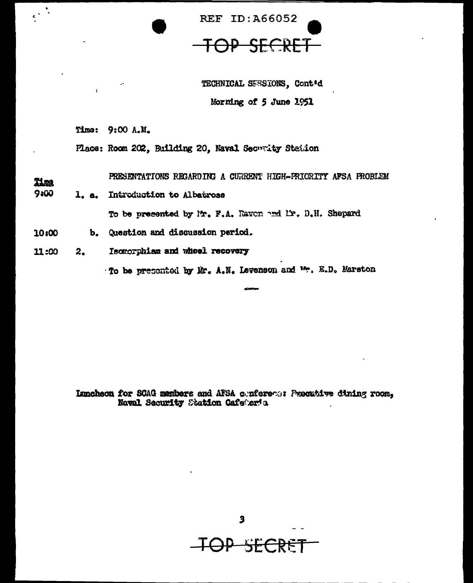

TECHNICAL SESSIONS, Cont'd Morning of 5 June 1951

Time: 9:00 A.M.

 $\epsilon^{(k)}$ 

Place: Room 202, Building 20, Naval Security Station

PRESENTATIONS REGARDING A CURRENT HIGH-FRIORITY AFSA FROBLEM Time

9:00 1. a. Introduction to Albatross

To be presented by Mr. F.A. Ravon and Mr. D.H. Shepard

- 10:00 b. Question and discussion period.
- Isomorphiam and whoel recovery 11:00  $2.$

To be presented by Mr. A.N. Levenson and Wr. E.D. Marston

Luncheon for SCAG members and AFSA conference Procubive dining room, Naval Security Station Cafeter's

 $\overline{\mathbf{3}}$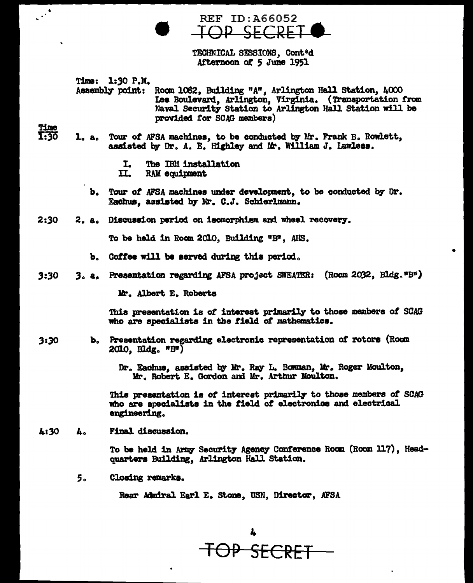**REF ID: A66052**  $CE$  $\bigcap$ 

TECHNICAL SESSIONS, Cont'd Afternoon of 5 June 1951

Time: 1:30 P.M.

Assembly point: Room 1082, Building "A", Arlington Hall Station, 4000 Lee Boulevard, Arlington, Virginia. (Transportation from Naval Security Station to Arlington Hall Station will be provided for SCAG members)

**Time** 

 $\mathbb{R}^2$ 

- 1:30 1. a. Tour of AFSA machines, to be conducted by Mr. Frank B. Rowlett, assisted by Dr. A. E. Highley and Mr. William J. Lawless.
	- The IBM installation I.
	- II. RAM equipment
	- b. Tour of AFSA machines under development, to be conducted by Dr. Eachus, assisted by Mr. C.J. Schierlmann.
- $2:30$ 2. a. Discussion period on isomorphism and wheel recovery.

To be held in Room 2010, Building "B", ANS.

- b. Coffee will be served during this period.
- 3. a. Presentation regarding AFSA project SWEATER: (Room 2032, Bldg."B")  $3:30$

Mr. Albert E. Roberts

This presentation is of interest primarily to those members of SCAG who are specialists in the field of mathematics.

- Presentation regarding electronic representation of rotors (Roum  $3:30$  $\mathbf{b}_{\alpha}$  $2010$ , Bldg.  $nBr$ )
	- Dr. Eachus, assisted by Mr. Ray L. Bowman, Mr. Roger Moulton, Mr. Robert E. Gordon and Mr. Arthur Moulton.

This presentation is of interest primarily to those members of SCAG who are specialists in the field of electronics and electrical engineering.

Final discussion. 4:30 4.

> To be held in Army Security Agency Conference Room (Room 117), Headquarters Building, Arlington Hall Station.

Closing remarks. 5.

Rear Admiral Earl E. Stone, USN, Director, AFSA

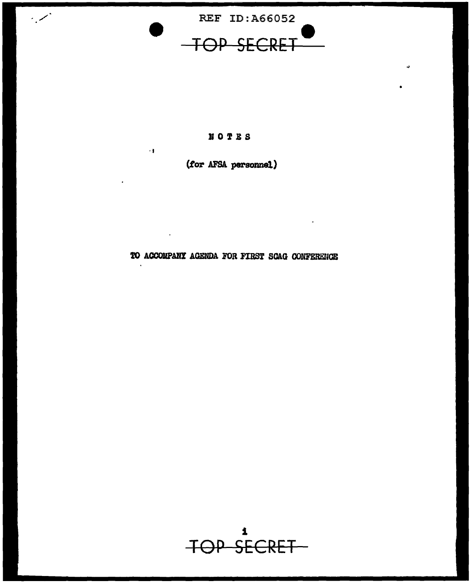

 $\sim$ 

## NOTES

 $\epsilon$ 

 $\ddot{\phantom{a}}$ 

(for AFSA personnel)

TO ACCOMPANY AGENDA FOR FIRST SCAG CONFERENCE

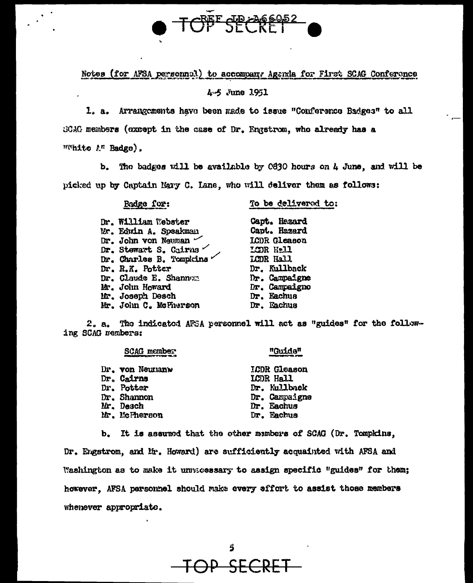

Notes (for AFSA personnel) to accompany Agenda for First SCAG Conference

4.5 June 1951

1. a. Arrangements have been made to issue "Conference Badges" to all GCAC members (except in the case of Dr. Engstrom, who already has a "White A" Badge).

The badges will be available by 0830 hours on 4 June, and will be ь. picked up by Captain Mary C. Lane, who will deliver them as follows:

Radge for:

To be delivered to:

| Dr. William Webster            |
|--------------------------------|
| Mr. Edwin A. Speakman          |
| $Dr.$ John von Neuman $\sim$   |
| Dr. Stewart S. Cairns $\angle$ |
| Dr. Charles B. Tompkins        |
| Dr. R.K. Potter                |
| Dr. Claude E. Shannon          |
| Mr. John Howard                |
| Mr. Joseph Desch               |
| Mr. John C. McFherson          |

Capt. Hazard Capt. Hazard **ICDR** Gleason LODR Hell LCDR Hall Dr. Kullback Dr. Campaigne Dr. Campaigno Dr. Eachus Dr. Eachus

2. a. The indicated AFSA personnel will act as "guides" for the following SCAG members:

| <b>SCAG</b> member | "Guide"             |
|--------------------|---------------------|
| Dr. von Neumanw    | <b>ICDR</b> Gleason |
| Dr. Cairns         | LCDR Hall           |
| Dr. Potter         | Dr. Kullback        |
| Dr. Shannon        | Dr. Campaigne       |
| Mr. Desch          | Dr. Eachus          |
| Mr. McPherson      | Dr. Eachus          |

b. It is assumed that the other members of SCAG (Dr. Tompkins. Dr. Engstrom, and Mr. Howard) are sufficiently acquainted with AFSA and Washington as to make it unnacessary to assign specific "guides" for them; however. AFSA personnel should make every effort to assist those members whenever appropriate.

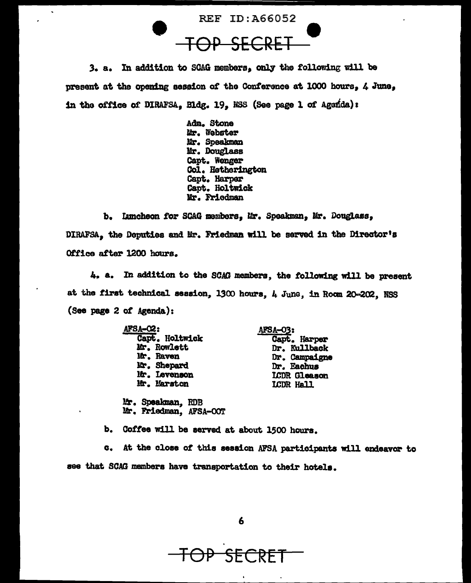

3. a. In addition to SCAG members, only the following will be present at the opening aassion of the Conference at 1000 hours, 4 June, in the office of DIRAFSA, Bldg. 19, NSS (See page 1 of Agenda):

> Ada. Stone Mr. Webster Mr. Speakman Mr. Douglass capt. Wenger Col. Hetherington capt. Harper Capt. Holtwick Mr. Friedman

b. Iamcheon for SCAG members, Mr. Speakman, Mr. Douglass, DIRAFSA, the Deputies and Mr. Friedman will be served in the Director's Office after 1200 hours.

4. a. In addition to the SCAG members, the following will be present at the first technical session, 1300 hours, 4 June, in Room 20-202, NSS {See page 2 *ot* Agenda):

| AFSA-02:       | AFSA-03:            |  |
|----------------|---------------------|--|
| Capt. Holtwick | Capt. Harper        |  |
| Mr. Rowlett    | Dr. Kullback        |  |
| Mr. Raven      | Dr. Campaigne       |  |
| Mr. Shepard    | Dr. Eachus          |  |
| Mr. Levenson   | <b>LCDR</b> Gleason |  |
| Mr. Marston    | LCDR Hall           |  |
|                |                     |  |

~. Spealcman,, RDB Ur. Friedman, AFSA-OO'r

b. Coffee will be served at about 1500 hours.

c. At the close of this session AFSA participants will endeavor to see that SCAG members have transportation to their hotels.

6

TOP SECRET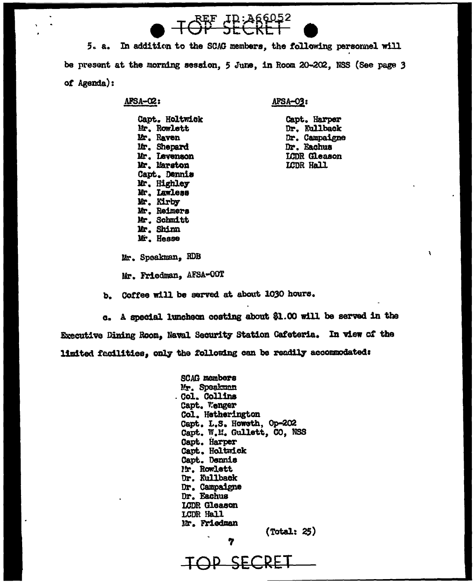$5 - a$ In addition to the SCAG members, the following personnel will be present at the morning session, 5 June, in Room 20-202, NSS (See page 3 of Agenda):

TOP CP: 266052

### AFSA-C2:

### AFSA-03:

Capt. Holtwick Mr. Rowlett Mr. Raven Mr. Shepard Mr. Levenson Mr. Marston Capt. Dennis Mr. Highley Mr. Lawless Mr. Kirby Mr. Reimers Mr. Schmitt Mr. Shinn Mr. Hesse

Capt. Harper Dr. Kullback Dr. Campaigne Dr. Eachus LCDR Cleason LCDR Hall

Mr. Speakman, RDB

Mr. Friedman, AFSA-OOT

b. Coffee will be served at about 1030 hours.

A special luncheon costing about \$1.00 will be served in the  $\alpha$ . Executive Dining Room, Naval Security Station Cafeteria. In view of the limited facilities. only the following can be readily accommodated:

> **SCAG members** Mr. Speakman . Col. Collins Capt. Wenger Col. Hetherington Capt. L.S. Howeth, Op-202 Capt. W.M. Gullett, CO, NSS Capt. Harper Capt. Holtwick Capt. Dennis Mr. Rowlett Dr. Kullback Dr. Campaigne Dr. Eachus LCDR Gleason LCDR Hall **Mr. Friedman**  $(Total: 25)$

OP SECRE

7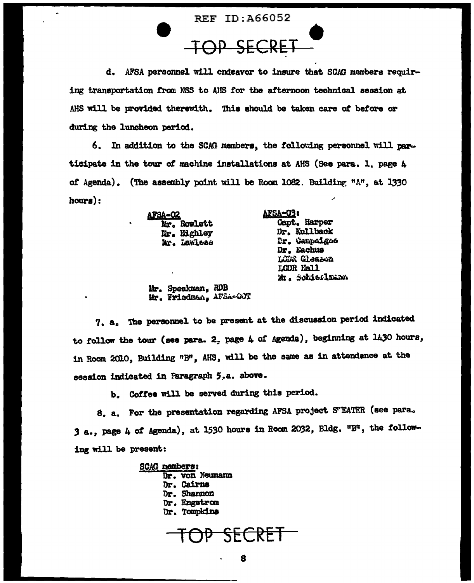**REF ID: A66052** 

**TOP SEC** 

d. AFSA personnel will endeavor to insure that SCAG members requiring transportation from NSS to AHS for the afternoon technical session at AHS will be provided therewith. This should be taken care of before or during the luncheon period.

6. In addition to the SCAG members, the following personnel will participate in the tour of machine installations at AHS (See para. 1. page 4 of Agenda). (The assembly point will be Room 1082. Building "A", at 1330  $hours):$ 

> afsa-o2 Mr. Rowlett Mr. Highley Mr. Lawlead

AFSA=03: **Gapt. Harper** Dr. Kullback Dr. Gampaigne Dr. Eachus Lüba Gleason LCDR Hall Mr. Schieflmann

Mr. Speakman, RDB Hr. Friedman, AFSA-GOT

7. a. The personnel to be present at the discussion period indicated to follow the tour (see para. 2, page 4 of Agenda), beginning at 1430 hours, in Room 2010, Building "B", AHS, will be the same as in attendance at the session indicated in Paragraph 5.a. above.

b. Coffee will be served during this period.

8. a. For the presentation regarding AFSA project S'EATER (see para. 3 a., page 4 of Agenda), at 1530 hours in Room 2032, Bldg. "B", the following will be present:

> **SCAG members:** Dr. von Neumann Dr. Cairns Dr. Shannon Dr. Engstrom Dr. Tompkins